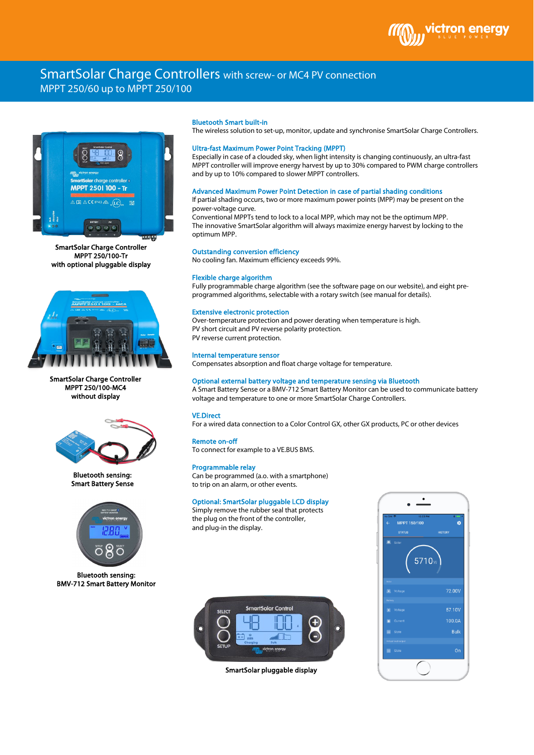

# SmartSolar Charge Controllers with screw- or MC4 PV connection MPPT 250/60 up to MPPT 250/100



SmartSolar Charge Controller MPPT 250/100-Tr with optional pluggable display



SmartSolar Charge Controller MPPT 250/100-MC4 without display



Bluetooth sensing: Smart Battery Sense



Bluetooth sensing: BMV-712 Smart Battery Monitor

## Bluetooth Smart built-in

The wireless solution to set-up, monitor, update and synchronise SmartSolar Charge Controllers.

# Ultra-fast Maximum Power Point Tracking (MPPT)

Especially in case of a clouded sky, when light intensity is changing continuously, an ultra-fast MPPT controller will improve energy harvest by up to 30% compared to PWM charge controllers and by up to 10% compared to slower MPPT controllers.

## Advanced Maximum Power Point Detection in case of partial shading conditions

If partial shading occurs, two or more maximum power points (MPP) may be present on the power-voltage curve.

Conventional MPPTs tend to lock to a local MPP, which may not be the optimum MPP. The innovative SmartSolar algorithm will always maximize energy harvest by locking to the optimum MPP.

# Outstanding conversion efficiency

No cooling fan. Maximum efficiency exceeds 99%.

### Flexible charge algorithm

Fully programmable charge algorithm (see the software page on our website), and eight preprogrammed algorithms, selectable with a rotary switch (see manual for details).

# Extensive electronic protection

Over-temperature protection and power derating when temperature is high. PV short circuit and PV reverse polarity protection. PV reverse current protection.

#### Internal temperature sensor

Compensates absorption and float charge voltage for temperature.

# Optional external battery voltage and temperature sensing via Bluetooth

A Smart Battery Sense or a BMV-712 Smart Battery Monitor can be used to communicate battery voltage and temperature to one or more SmartSolar Charge Controllers.

# VE.Direct

For a wired data connection to a Color Control GX, other GX products, PC or other devices

# Remote on-off

To connect for example to a VE.BUS BMS.

#### Programmable relay

Can be programmed (a.o. with a smartphone) to trip on an alarm, or other events.

# Optional: SmartSolar pluggable LCD display

Simply remove the rubber seal that protects the plug on the front of the controller, and plug-in the display.



SmartSolar pluggable display